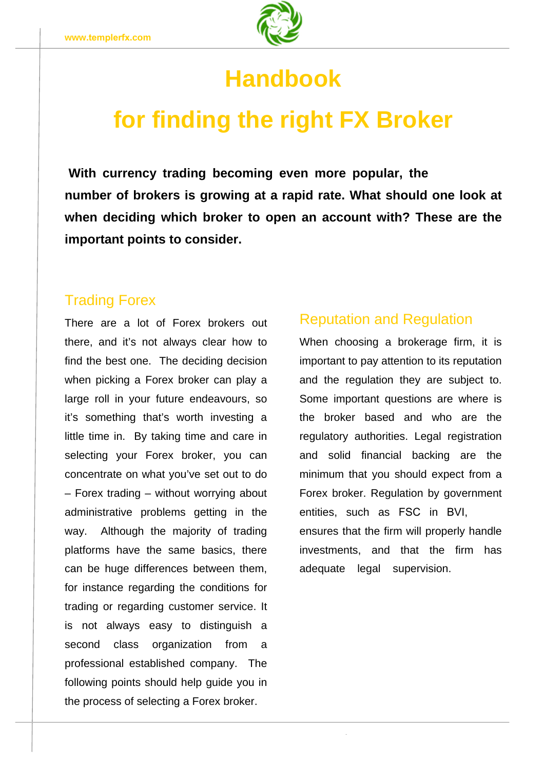

## **Handbook**

# **for finding the right FX Broker**

**number of brokers is growing at a rapid rate. What should one look at when deciding which broker to open an account with? These are the important points to consider. With currency trading becoming even more popular, the** 

#### Trading Forex

There are a lot of Forex brokers out there, and it's not always clear how to find the best one. The deciding decision when picking a Forex broker can play a large roll in your future endeavours, so it's something that's worth investing a little time in. By taking time and care in selecting your Forex broker, you can concentrate on what you've set out to do way. Although the majority of trading platforms have the same basics, there – Forex trading – without worrying about Forex broker. Regulation by government administrative problems getting in the entities, such as FSC in BVI, can be huge differences between them, adequate legal supervision. for instance regarding the conditions for trading or regarding customer service. It is not always easy to distinguish a second class organization from a professional established company. The following points should help guide you in the process of selecting a Forex broker.

#### Reputation and Regulation

When choosing a brokerage firm, it is important to pay attention to its reputation and the regulation they are subject to. Some important questions are where is the broker based and who are the regulatory authorities. Legal registration and solid financial backing are the minimum that you should expect from a ensures that the firm will properly handle investments, and that the firm has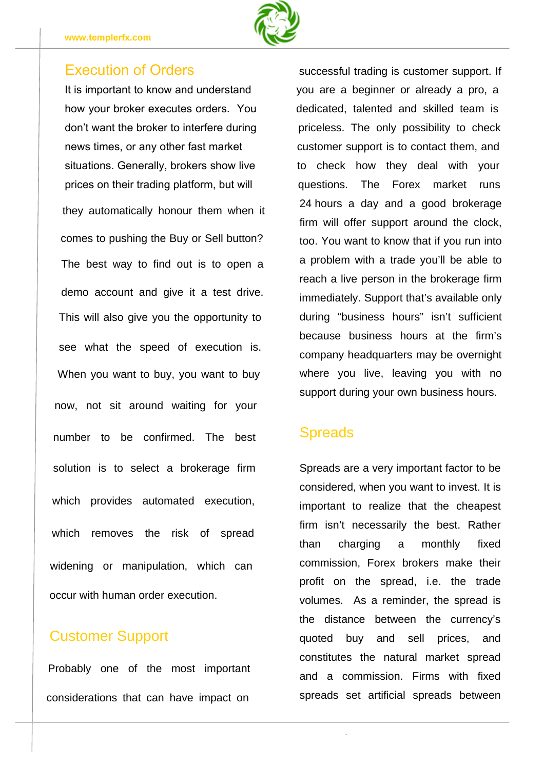

they automatically honour them when it comes to pushing the Buy or Sell button? The best way to find out is to open a demo account and give it a test drive. This will also give you the opportunity to see what the speed of execution is. When you want to buy, you want to buy now, not sit around waiting for your number to be confirmed. The best solution is to select a brokerage firm which provides automated execution, which removes the risk of spread widening or manipulation, which can occur with human order execution.

#### Customer Support

Probably one of the most important considerations that can have impact on

24 hours a day and a good brokerage firm will offer support around the clock, too. You want to know that if you run into a problem with a trade you'll be able to reach a live person in the brokerage firm immediately. Support that's available only during "business hours" isn't sufficient because business hours at the firm's company headquarters may be overnight where you live, leaving you with no support during your own business hours. It is important to know and understand you are a beginner or already a pro, a Execution of Orders successful trading is customer support. If news times, or any other fast market customer support is to contact them, and don't want the broker to interfere during priceless. The only possibility to check how your broker executes orders. You dedicated, talented and skilled team is situations. Generally, brokers show live to check how they deal with your prices on their trading platform, but will questions. The Forex market runs

### **Spreads**

Spreads are a very important factor to be considered, when you want to invest. It is important to realize that the cheapest firm isn't necessarily the best. Rather than charging a monthly fixed commission, Forex brokers make their profit on the spread, i.e. the trade volumes. As a reminder, the spread is the distance between the currency's quoted buy and sell prices, and constitutes the natural market spread and a commission. Firms with fixed spreads set artificial spreads between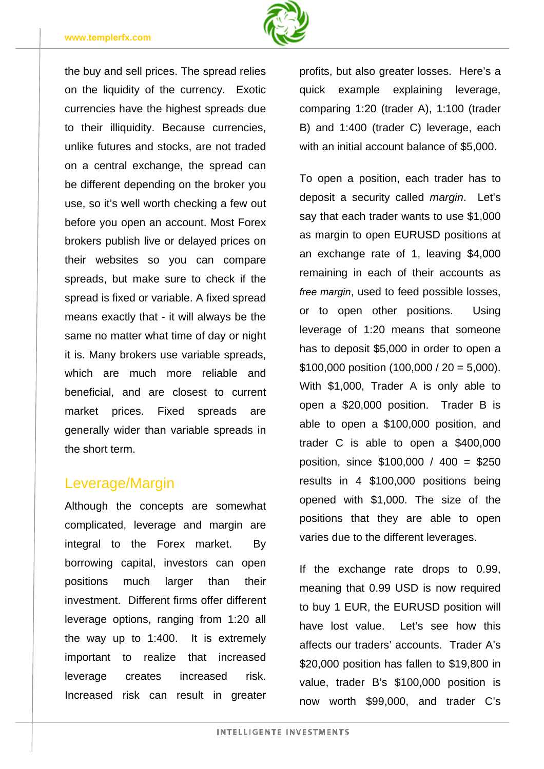

the buy and sell prices. The spread relies on the liquidity of the currency. Exotic currencies have the highest spreads due to their illiquidity. Because currencies, unlike futures and stocks, are not traded on a central exchange, the spread can be different depending on the broker you use, so it's well worth checking a few out before you open an account. Most Forex brokers publish live or delayed prices on their websites so you can compare spreads, but make sure to check if the spread is fixed or variable. A fixed spread means exactly that - it will always be the same no matter what time of day or night it is. Many brokers use variable spreads, which are much more reliable and beneficial, and are closest to current market prices. Fixed spreads are generally wider than variable spreads in the short term.

### Leverage/Margin

Although the concepts are somewhat complicated, leverage and margin are integral to the Forex market. By borrowing capital, investors can open positions much larger than their investment. Different firms offer different leverage options, ranging from 1:20 all the way up to 1:400. It is extremely important to realize that increased leverage creates increased risk. Increased risk can result in greater profits, but also greater losses. Here's a quick example explaining leverage, comparing 1:20 (trader A), 1:100 (trader B) and 1:400 (trader C) leverage, each with an initial account balance of \$5,000.

To open a position, each trader has to deposit a security called *margin*. Let's say that each trader wants to use \$1,000 as margin to open EURUSD positions at an exchange rate of 1, leaving \$4,000 remaining in each of their accounts as *free margin*, used to feed possible losses, or to open other positions. Using leverage of 1:20 means that someone has to deposit \$5,000 in order to open a \$100,000 position  $(100,000 / 20 = 5,000)$ . With \$1,000, Trader A is only able to open a \$20,000 position. Trader B is able to open a \$100,000 position, and trader C is able to open a \$400,000 position, since \$100,000 / 400 = \$250 results in 4 \$100,000 positions being opened with \$1,000. The size of the positions that they are able to open varies due to the different leverages.

If the exchange rate drops to 0.99, meaning that 0.99 USD is now required to buy 1 EUR, the EURUSD position will have lost value. Let's see how this affects our traders' accounts. Trader A's \$20,000 position has fallen to \$19,800 in value, trader B's \$100,000 position is now worth \$99,000, and trader C's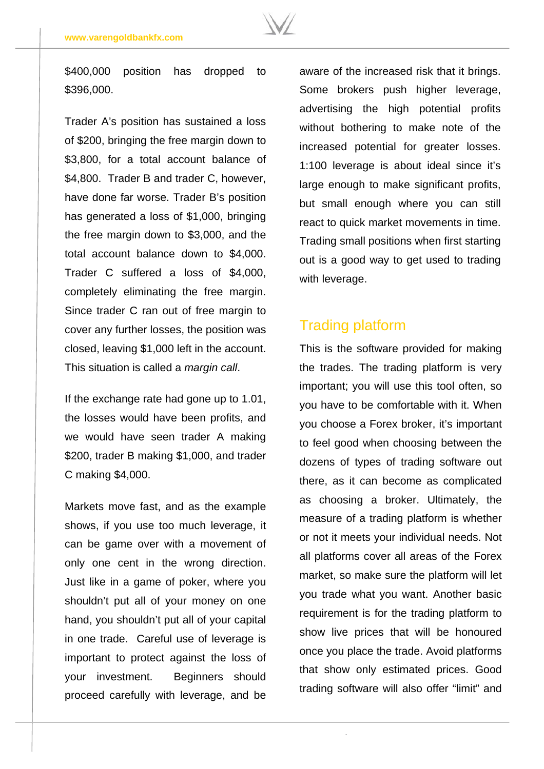

\$400,000 position has dropped to \$396,000.

Trader A's position has sustained a loss of \$200, bringing the free margin down to \$3,800, for a total account balance of \$4,800. Trader B and trader C, however, have done far worse. Trader B's position has generated a loss of \$1,000, bringing the free margin down to \$3,000, and the total account balance down to \$4,000. Trader C suffered a loss of \$4,000, completely eliminating the free margin. Since trader C ran out of free margin to cover any further losses, the position was closed, leaving \$1,000 left in the account. This situation is called a *margin call*.

If the exchange rate had gone up to 1.01, the losses would have been profits, and we would have seen trader A making \$200, trader B making \$1,000, and trader C making \$4,000.

Markets move fast, and as the example shows, if you use too much leverage, it can be game over with a movement of only one cent in the wrong direction. Just like in a game of poker, where you shouldn't put all of your money on one hand, you shouldn't put all of your capital in one trade. Careful use of leverage is important to protect against the loss of your investment. Beginners should proceed carefully with leverage, and be aware of the increased risk that it brings. Some brokers push higher leverage, advertising the high potential profits without bothering to make note of the increased potential for greater losses. 1:100 leverage is about ideal since it's large enough to make significant profits, but small enough where you can still react to quick market movements in time. Trading small positions when first starting out is a good way to get used to trading with leverage.

#### Trading platform

This is the software provided for making the trades. The trading platform is very important; you will use this tool often, so you have to be comfortable with it. When you choose a Forex broker, it's important to feel good when choosing between the dozens of types of trading software out there, as it can become as complicated as choosing a broker. Ultimately, the measure of a trading platform is whether or not it meets your individual needs. Not all platforms cover all areas of the Forex market, so make sure the platform will let you trade what you want. Another basic requirement is for the trading platform to show live prices that will be honoured once you place the trade. Avoid platforms that show only estimated prices. Good trading software will also offer "limit" and